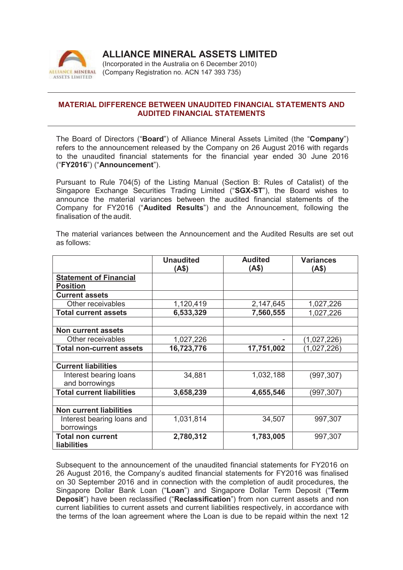

## **ALLIANCE MINERAL ASSETS LIMITED**

(Incorporated in the Australia on 6 December 2010) (Company Registration no. ACN 147 393 735)

## **MATERIAL DIFFERENCE BETWEEN UNAUDITED FINANCIAL STATEMENTS AND AUDITED FINANCIAL STATEMENTS**

The Board of Directors ("**Board**") of Alliance Mineral Assets Limited (the "**Company**") refers to the announcement released by the Company on 26 August 2016 with regards to the unaudited financial statements for the financial year ended 30 June 2016 ("**FY2016**") ("**Announcement**").

Pursuant to Rule 704(5) of the Listing Manual (Section B: Rules of Catalist) of the Singapore Exchange Securities Trading Limited ("**SGX-ST**"), the Board wishes to announce the material variances between the audited financial statements of the Company for FY2016 ("**Audited Results**") and the Announcement, following the finalisation of the audit.

|                                                | <b>Unaudited</b><br>(AS) | <b>Audited</b><br>(A\$) | <b>Variances</b><br>(4\$) |
|------------------------------------------------|--------------------------|-------------------------|---------------------------|
| <b>Statement of Financial</b>                  |                          |                         |                           |
| <b>Position</b>                                |                          |                         |                           |
| <b>Current assets</b>                          |                          |                         |                           |
| Other receivables                              | 1,120,419                | 2,147,645               | 1,027,226                 |
| <b>Total current assets</b>                    | 6,533,329                | 7,560,555               | 1,027,226                 |
|                                                |                          |                         |                           |
| <b>Non current assets</b>                      |                          |                         |                           |
| Other receivables                              | 1,027,226                |                         | (1,027,226)               |
| <b>Total non-current assets</b>                | 16,723,776               | 17,751,002              | (1,027,226)               |
|                                                |                          |                         |                           |
| <b>Current liabilities</b>                     |                          |                         |                           |
| Interest bearing loans                         | 34,881                   | 1,032,188               | (997, 307)                |
| and borrowings                                 |                          |                         |                           |
| <b>Total current liabilities</b>               | 3,658,239                | 4,655,546               | (997, 307)                |
|                                                |                          |                         |                           |
| <b>Non current liabilities</b>                 |                          |                         |                           |
| Interest bearing loans and                     | 1,031,814                | 34,507                  | 997,307                   |
| borrowings                                     |                          |                         |                           |
| <b>Total non current</b><br><b>liabilities</b> | 2,780,312                | 1,783,005               | 997,307                   |

The material variances between the Announcement and the Audited Results are set out as follows:

Subsequent to the announcement of the unaudited financial statements for FY2016 on 26 August 2016, the Company's audited financial statements for FY2016 was finalised on 30 September 2016 and in connection with the completion of audit procedures, the Singapore Dollar Bank Loan ("**Loan**") and Singapore Dollar Term Deposit ("**Term Deposit**") have been reclassified ("**Reclassification**") from non current assets and non current liabilities to current assets and current liabilities respectively, in accordance with the terms of the loan agreement where the Loan is due to be repaid within the next 12